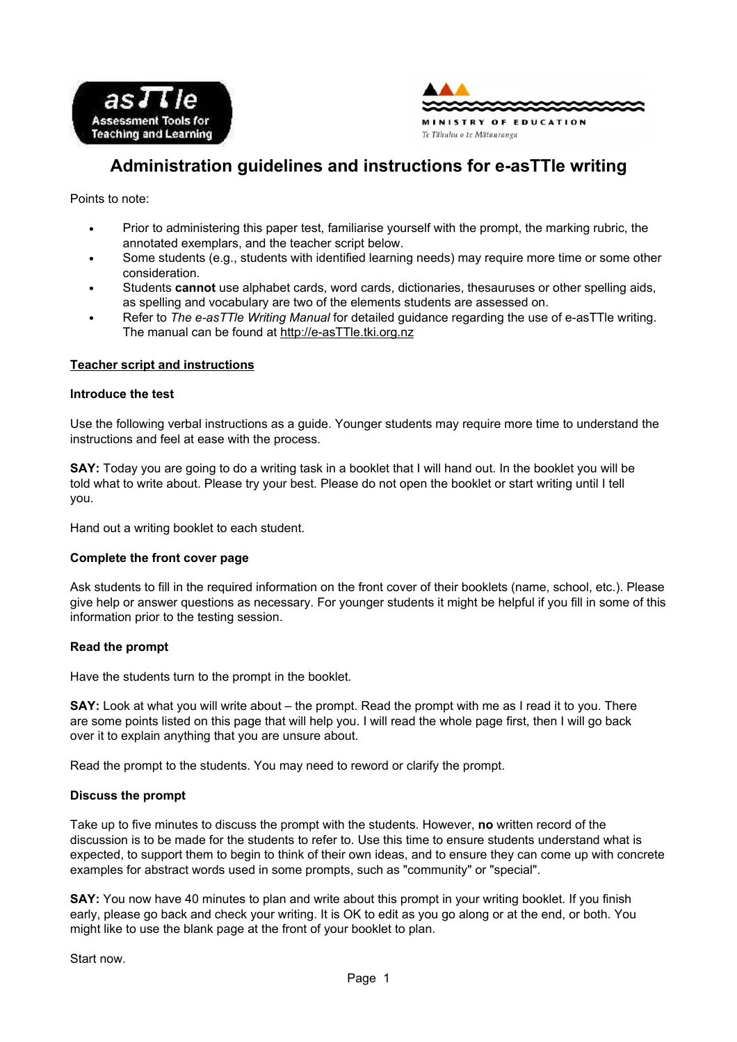



# **Administration guidelines and instructions for e-asTTle writing**

Points to note:

- Prior to administering this paper test, familiarise yourself with the prompt, the marking rubric, the annotated exemplars, and the teacher script below.
- Some students (e.g., students with identified learning needs) may require more time or some other consideration.
- Students **cannot** use alphabet cards, word cards, dictionaries, thesauruses or other spelling aids, as spelling and vocabulary are two of the elements students are assessed on.
- Refer to *The e-asTTle Writing Manual* for detailed guidance regarding the use of e-asTTle writing. The manual can be found at http://e-asTTle.tki.org.nz

## **Teacher script and instructions**

## **Introduce the test**

Use the following verbal instructions as a guide. Younger students may require more time to understand the instructions and feel at ease with the process.

**SAY:** Today you are going to do a writing task in a booklet that I will hand out. In the booklet you will be told what to write about. Please try your best. Please do not open the booklet or start writing until I tell you.

Hand out a writing booklet to each student.

# **Complete the front cover page**

Ask students to fill in the required information on the front cover of their booklets (name, school, etc.). Please give help or answer questions as necessary. For younger students it might be helpful if you fill in some of this information prior to the testing session.

#### **Read the prompt**

Have the students turn to the prompt in the booklet.

**SAY:** Look at what you will write about – the prompt. Read the prompt with me as I read it to you. There are some points listed on this page that will help you. I will read the whole page first, then I will go back over it to explain anything that you are unsure about.

Read the prompt to the students. You may need to reword or clarify the prompt.

#### **Discuss the prompt**

Take up to five minutes to discuss the prompt with the students. However, **no** written record of the discussion is to be made for the students to refer to. Use this time to ensure students understand what is expected, to support them to begin to think of their own ideas, and to ensure they can come up with concrete examples for abstract words used in some prompts, such as "community" or "special".

**SAY:** You now have 40 minutes to plan and write about this prompt in your writing booklet. If you finish early, please go back and check your writing. It is OK to edit as you go along or at the end, or both. You might like to use the blank page at the front of your booklet to plan.

Start now.